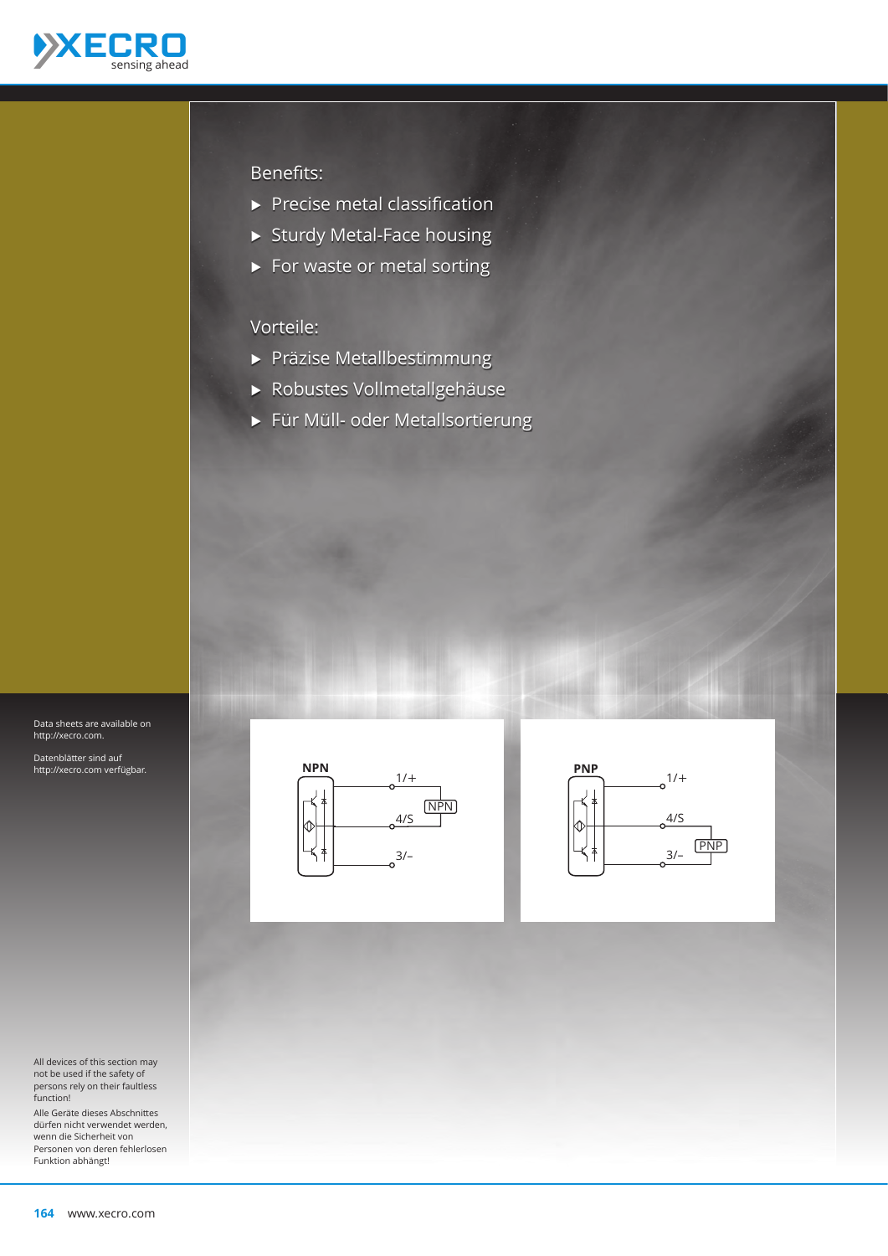

## Benefits:

- $\blacktriangleright$  Precise metal classification
- $\triangleright$  Sturdy Metal-Face housing
- $\blacktriangleright$  For waste or metal sorting

## Vorteile:

- **A** Präzise Metallbestimmung
- Ѝ Robustes Vollmetallgehäuse
- Ѝ Für Müll- oder Metallsortierung

Data sheets are available on http://xecro.com.

Datenblätter sind auf http://xecro.com verfügbar.

All devices of this section may not be used if the safety of persons rely on their faultless function!

Alle Geräte dieses Abschnittes dürfen nicht verwendet werden, wenn die Sicherheit von Personen von deren fehlerlosen Funktion abhängt!





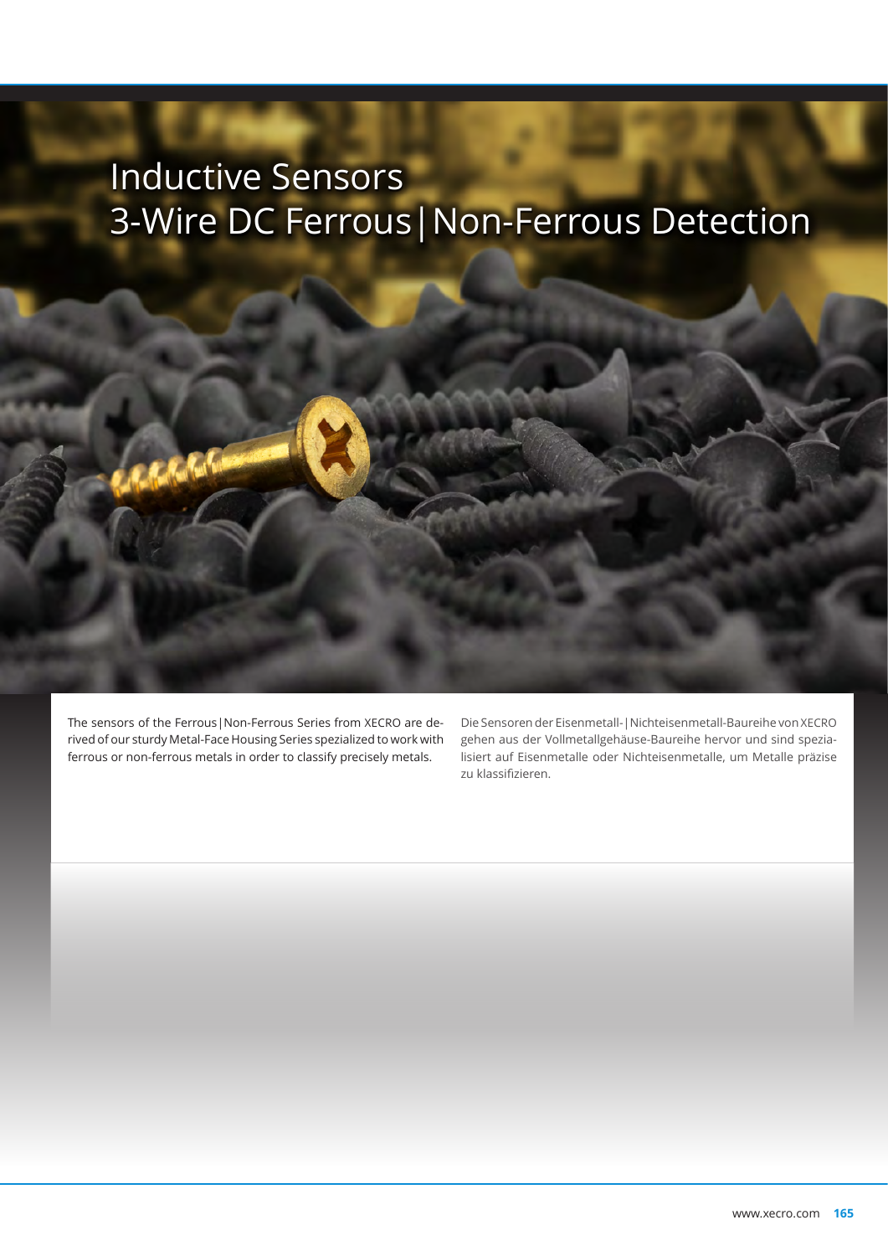## Inductive Sensors 3-Wire DC Ferrous|Non-Ferrous Detection

The sensors of the Ferrous|Non-Ferrous Series from XECRO are derived of our sturdy Metal-Face Housing Series spezialized to work with ferrous or non-ferrous metals in order to classify precisely metals.

Die Sensoren der Eisenmetall-|Nichteisenmetall-Baureihe von XECRO gehen aus der Vollmetallgehäuse-Baureihe hervor und sind spezialisiert auf Eisenmetalle oder Nichteisenmetalle, um Metalle präzise zu klassifizieren.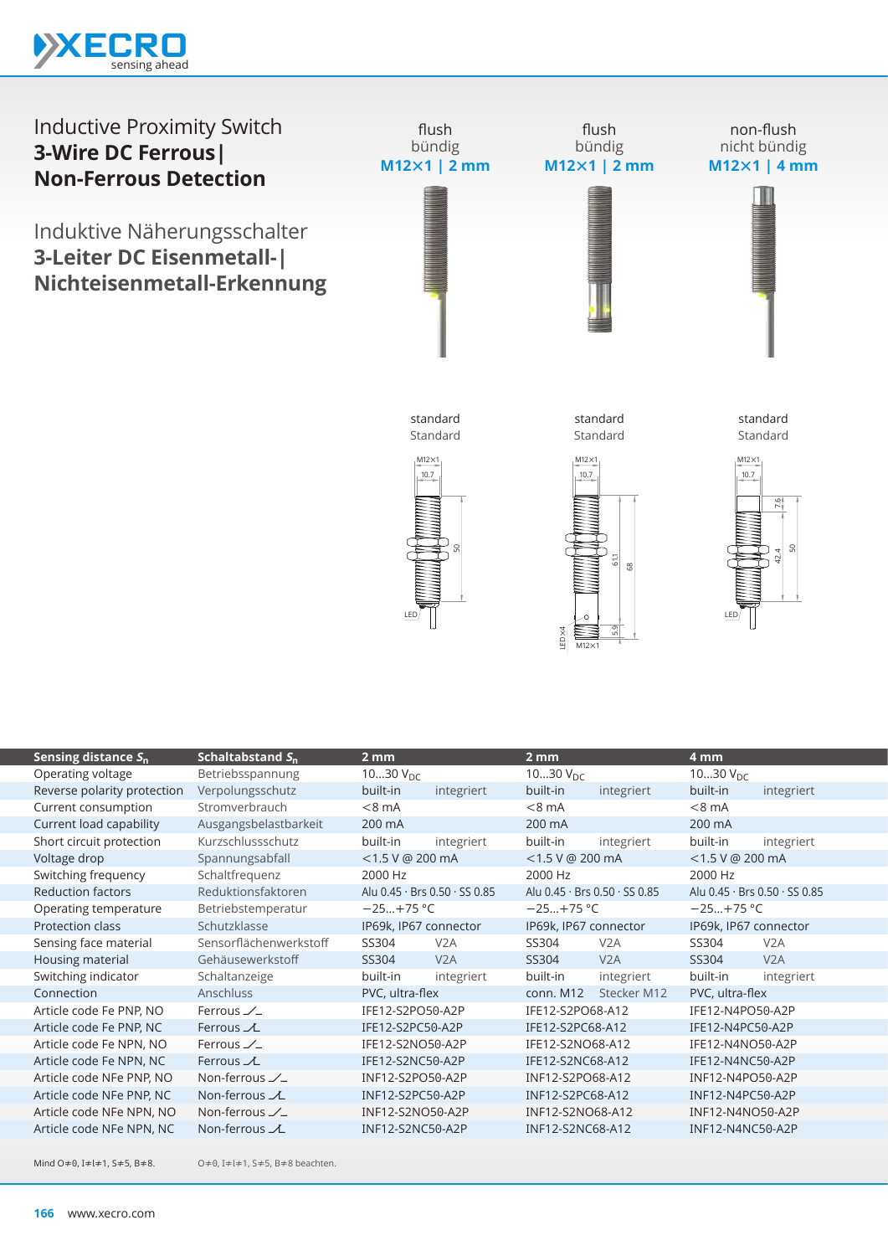

## Inductive Proximity Switch **3-Wire DC Ferrous| Non-Ferrous Detection**

Induktive Näherungsschalter **3-Leiter DC Eisenmetall-| Nichteisenmetall-Erkennung**



 $M12\times1$ 

| Sensing distance $S_n$      | Schaltabstand $S_n$    | 2 mm                          |                  | 2 mm                          |                  | 4 mm                          |                  |
|-----------------------------|------------------------|-------------------------------|------------------|-------------------------------|------------------|-------------------------------|------------------|
| Operating voltage           | Betriebsspannung       | 1030 $V_{DC}$                 |                  | 1030 $V_{DC}$                 |                  | 1030 $V_{DC}$                 |                  |
| Reverse polarity protection | Verpolungsschutz       | built-in                      | integriert       | built-in                      | integriert       | built-in                      | integriert       |
| Current consumption         | Stromverbrauch         | $< 8$ mA                      |                  | $<8$ mA                       |                  | $< 8$ mA                      |                  |
| Current load capability     | Ausgangsbelastbarkeit  | 200 mA                        |                  | 200 mA                        |                  | 200 mA                        |                  |
| Short circuit protection    | Kurzschlussschutz      | built-in                      | integriert       | built-in                      | integriert       | built-in                      | integriert       |
| Voltage drop                | Spannungsabfall        | $<$ 1.5 V @ 200 mA            |                  | $<$ 1.5 V @ 200 mA            |                  | $<$ 1.5 V @ 200 mA            |                  |
| Switching frequency         | Schaltfrequenz         | 2000 Hz                       |                  | 2000 Hz                       |                  | 2000 Hz                       |                  |
| <b>Reduction factors</b>    | Reduktionsfaktoren     | Alu 0.45 · Brs 0.50 · SS 0.85 |                  | Alu 0.45 · Brs 0.50 · SS 0.85 |                  | Alu 0.45 · Brs 0.50 · SS 0.85 |                  |
| Operating temperature       | Betriebstemperatur     | $-25+75$ °C                   |                  | $-25+75$ °C                   |                  | $-25+75$ °C                   |                  |
| Protection class            | Schutzklasse           | IP69k, IP67 connector         |                  | IP69k, IP67 connector         |                  | IP69k, IP67 connector         |                  |
| Sensing face material       | Sensorflächenwerkstoff | SS304                         | V <sub>2</sub> A | SS304                         | V <sub>2</sub> A | SS304                         | V <sub>2</sub> A |
| Housing material            | Gehäusewerkstoff       | SS304                         | V2A              | SS304                         | V <sub>2</sub> A | SS304                         | V <sub>2</sub> A |
| Switching indicator         | Schaltanzeige          | built-in                      | integriert       | built-in                      | integriert       | built-in                      | integriert       |
| Connection                  | Anschluss              | PVC, ultra-flex               |                  | Stecker M12<br>conn. M12      |                  | PVC, ultra-flex               |                  |
| Article code Fe PNP, NO     | Ferrous $\angle$       | IFE12-S2PO50-A2P              |                  | IFE12-S2PO68-A12              |                  | IFE12-N4PO50-A2P              |                  |
| Article code Fe PNP, NC     | Ferrous $\chi$         | IFE12-S2PC50-A2P              |                  | IFE12-S2PC68-A12              |                  | IFE12-N4PC50-A2P              |                  |
| Article code Fe NPN, NO     | Ferrous $\angle$       | IFE12-S2NO50-A2P              |                  | IFE12-S2NO68-A12              |                  | IFE12-N4NO50-A2P              |                  |
| Article code Fe NPN, NC     | Ferrous $\chi$         | IFE12-S2NC50-A2P              |                  | IFE12-S2NC68-A12              |                  | IFE12-N4NC50-A2P              |                  |
| Article code NFe PNP, NO    | Non-ferrous $\angle$   | INF12-S2PO50-A2P              |                  | INF12-S2PO68-A12              |                  | INF12-N4PO50-A2P              |                  |
| Article code NFe PNP, NC    | Non-ferrous $\chi$     | INF12-S2PC50-A2P              |                  | INF12-S2PC68-A12              |                  | INF12-N4PC50-A2P              |                  |
| Article code NFe NPN, NO    | Non-ferrous $\angle$   | INF12-S2NO50-A2P              |                  | INF12-S2NO68-A12              |                  | INF12-N4NO50-A2P              |                  |
| Article code NFe NPN, NC    | Non-ferrous $\chi$     | INF12-S2NC50-A2P              |                  | INF12-S2NC68-A12              |                  | INF12-N4NC50-A2P              |                  |
|                             |                        |                               |                  |                               |                  |                               |                  |

Mind O≠0, I≠l≠1, S≠5, B≠8.

O≠0, I≠l≠1, S≠5, B≠8 beachten.